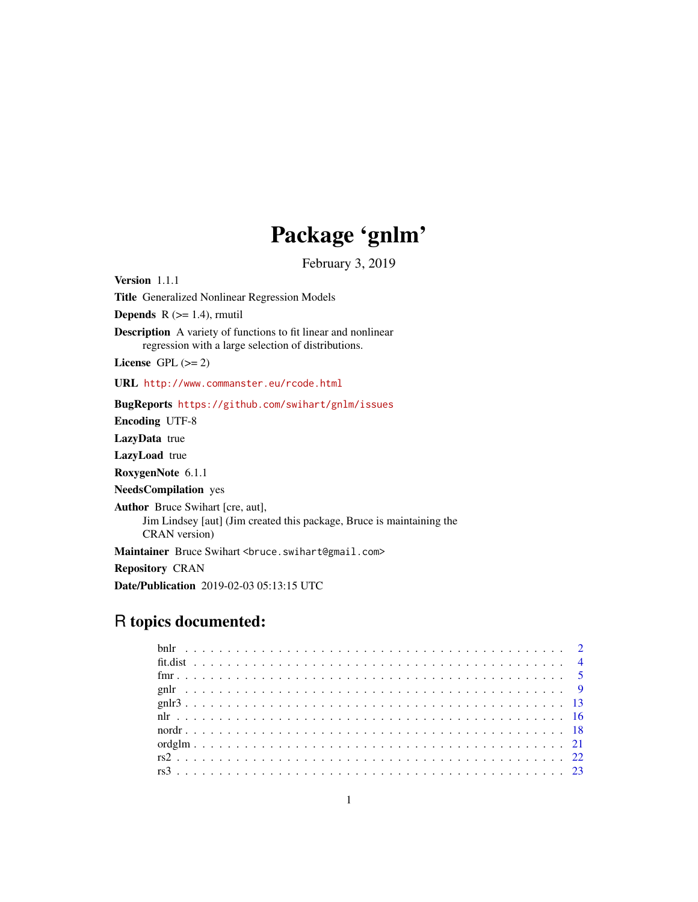# Package 'gnlm'

February 3, 2019

<span id="page-0-0"></span>Version 1.1.1 Title Generalized Nonlinear Regression Models **Depends**  $R$  ( $>= 1.4$ ), rmutil

Description A variety of functions to fit linear and nonlinear regression with a large selection of distributions.

License GPL  $(>= 2)$ 

URL <http://www.commanster.eu/rcode.html>

BugReports <https://github.com/swihart/gnlm/issues>

Encoding UTF-8

LazyData true

LazyLoad true

RoxygenNote 6.1.1

NeedsCompilation yes

Author Bruce Swihart [cre, aut],

Jim Lindsey [aut] (Jim created this package, Bruce is maintaining the CRAN version)

Maintainer Bruce Swihart <br/>bruce.swihart@gmail.com>

Repository CRAN

Date/Publication 2019-02-03 05:13:15 UTC

# R topics documented: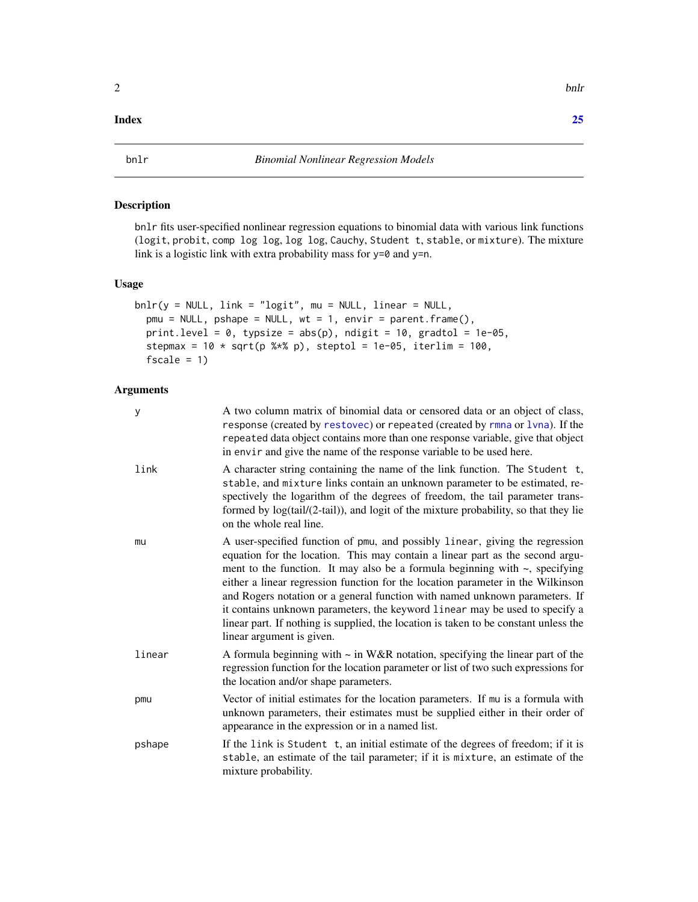# <span id="page-1-0"></span>**Index** [25](#page-24-0)

# Description

bnlr fits user-specified nonlinear regression equations to binomial data with various link functions (logit, probit, comp log log, log log, Cauchy, Student t, stable, or mixture). The mixture link is a logistic link with extra probability mass for y=0 and y=n.

# Usage

```
bnlr(y = NULL, link = "logit", mu = NULL, linear = NULL,
  pmu = NULL, pshape = NULL, wt = 1, envir = parent.frame(),
  print.level = 0, typsize = abs(p), ndigit = 10, gradtol = 1e-05,
  stepmax = 10 \times \sqrt{3} (p %*% p), steptol = 1e-05, iterlim = 100,
  fscale = 1)
```
#### Arguments

| У      | A two column matrix of binomial data or censored data or an object of class,<br>response (created by restovec) or repeated (created by rmna or lvna). If the<br>repeated data object contains more than one response variable, give that object<br>in envir and give the name of the response variable to be used here.                                                                                                                                                                                                                                                                                                  |
|--------|--------------------------------------------------------------------------------------------------------------------------------------------------------------------------------------------------------------------------------------------------------------------------------------------------------------------------------------------------------------------------------------------------------------------------------------------------------------------------------------------------------------------------------------------------------------------------------------------------------------------------|
| link   | A character string containing the name of the link function. The Student t,<br>stable, and mixture links contain an unknown parameter to be estimated, re-<br>spectively the logarithm of the degrees of freedom, the tail parameter trans-<br>formed by log(tail/(2-tail)), and logit of the mixture probability, so that they lie<br>on the whole real line.                                                                                                                                                                                                                                                           |
| mu     | A user-specified function of pmu, and possibly linear, giving the regression<br>equation for the location. This may contain a linear part as the second argu-<br>ment to the function. It may also be a formula beginning with $\sim$ , specifying<br>either a linear regression function for the location parameter in the Wilkinson<br>and Rogers notation or a general function with named unknown parameters. If<br>it contains unknown parameters, the keyword linear may be used to specify a<br>linear part. If nothing is supplied, the location is taken to be constant unless the<br>linear argument is given. |
| linear | A formula beginning with $\sim$ in W&R notation, specifying the linear part of the<br>regression function for the location parameter or list of two such expressions for<br>the location and/or shape parameters.                                                                                                                                                                                                                                                                                                                                                                                                        |
| pmu    | Vector of initial estimates for the location parameters. If mu is a formula with<br>unknown parameters, their estimates must be supplied either in their order of<br>appearance in the expression or in a named list.                                                                                                                                                                                                                                                                                                                                                                                                    |
| pshape | If the link is Student t, an initial estimate of the degrees of freedom; if it is<br>stable, an estimate of the tail parameter; if it is mixture, an estimate of the<br>mixture probability.                                                                                                                                                                                                                                                                                                                                                                                                                             |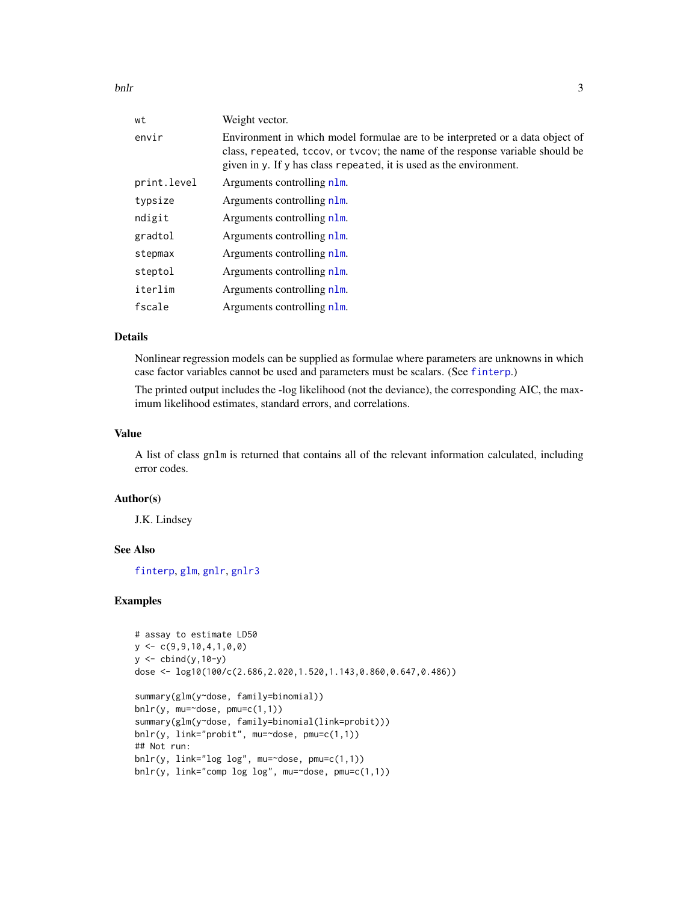<span id="page-2-0"></span>bnlr 3

| wt          | Weight vector.                                                                                                                                                                                                                        |
|-------------|---------------------------------------------------------------------------------------------------------------------------------------------------------------------------------------------------------------------------------------|
| envir       | Environment in which model formulae are to be interpreted or a data object of<br>class, repeated, tccov, or tvcov; the name of the response variable should be<br>given in y. If y has class repeated, it is used as the environment. |
| print.level | Arguments controlling nlm.                                                                                                                                                                                                            |
| typsize     | Arguments controlling nlm.                                                                                                                                                                                                            |
| ndigit      | Arguments controlling nlm.                                                                                                                                                                                                            |
| gradtol     | Arguments controlling n1m.                                                                                                                                                                                                            |
| stepmax     | Arguments controlling nlm.                                                                                                                                                                                                            |
| steptol     | Arguments controlling nlm.                                                                                                                                                                                                            |
| iterlim     | Arguments controlling n1m.                                                                                                                                                                                                            |
| fscale      | Arguments controlling nlm.                                                                                                                                                                                                            |
|             |                                                                                                                                                                                                                                       |

# Details

Nonlinear regression models can be supplied as formulae where parameters are unknowns in which case factor variables cannot be used and parameters must be scalars. (See [finterp](#page-0-0).)

The printed output includes the -log likelihood (not the deviance), the corresponding AIC, the maximum likelihood estimates, standard errors, and correlations.

# Value

A list of class gnlm is returned that contains all of the relevant information calculated, including error codes.

#### Author(s)

J.K. Lindsey

# See Also

[finterp](#page-0-0), [glm](#page-0-0), [gnlr](#page-8-1), [gnlr3](#page-12-1)

```
# assay to estimate LD50
y \leftarrow c(9, 9, 10, 4, 1, 0, 0)y <- cbind(y,10-y)
dose <- log10(100/c(2.686,2.020,1.520,1.143,0.860,0.647,0.486))
summary(glm(y~dose, family=binomial))
bnlr(y, mu=\text{cdose}, pmu=c(1,1))
summary(glm(y~dose, family=binomial(link=probit)))
bnlr(y, link="probit", mu=~dose, pmu=c(1,1))
## Not run:
bnlr(y, link="log log", mu='dose, pmu=c(1,1))bnlr(y, link="comp log log", mu='dose, pmu=c(1,1))
```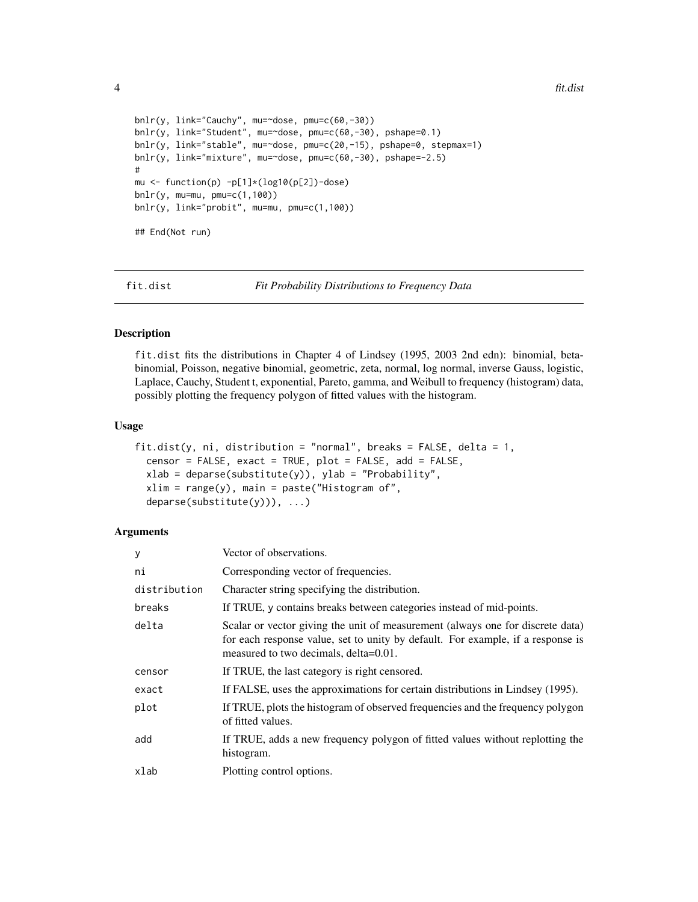```
bnlr(y, link="Cauchy", mu=~dose, pmu=c(60,-30))
bnlr(y, link="Student", mu=~dose, pmu=c(60,-30), pshape=0.1)
bnlr(y, link="stable", mu=~dose, pmu=c(20,-15), pshape=0, stepmax=1)
bnlr(y, link="mixture", mu=~dose, pmu=c(60,-30), pshape=-2.5)
#
mu <- function(p) -p[1]*(log10(p[2])-dose)
bnlr(y, mu=mu, pmu=c(1,100))
bnlr(y, link="probit", mu=mu, pmu=c(1,100))
## End(Not run)
```
fit.dist *Fit Probability Distributions to Frequency Data*

#### Description

fit.dist fits the distributions in Chapter 4 of Lindsey (1995, 2003 2nd edn): binomial, betabinomial, Poisson, negative binomial, geometric, zeta, normal, log normal, inverse Gauss, logistic, Laplace, Cauchy, Student t, exponential, Pareto, gamma, and Weibull to frequency (histogram) data, possibly plotting the frequency polygon of fitted values with the histogram.

#### Usage

```
fit.dist(y, ni, distribution = "normal", breaks = FALSE, delta = 1,
 censor = FALSE, exact = TRUE, plot = FALSE, add = FALSE,
 xlab = deparse(substitute(y)), ylab = "Probability",xlim = range(y), main = paste("Histogram of",
  deparse(substitute(y))), ...)
```
#### Arguments

| У            | Vector of observations.                                                                                                                                                                                    |
|--------------|------------------------------------------------------------------------------------------------------------------------------------------------------------------------------------------------------------|
| ni           | Corresponding vector of frequencies.                                                                                                                                                                       |
| distribution | Character string specifying the distribution.                                                                                                                                                              |
| breaks       | If TRUE, y contains breaks between categories instead of mid-points.                                                                                                                                       |
| delta        | Scalar or vector giving the unit of measurement (always one for discrete data)<br>for each response value, set to unity by default. For example, if a response is<br>measured to two decimals, delta=0.01. |
| censor       | If TRUE, the last category is right censored.                                                                                                                                                              |
| exact        | If FALSE, uses the approximations for certain distributions in Lindsey (1995).                                                                                                                             |
| plot         | If TRUE, plots the histogram of observed frequencies and the frequency polygon<br>of fitted values.                                                                                                        |
| add          | If TRUE, adds a new frequency polygon of fitted values without replotting the<br>histogram.                                                                                                                |
| xlab         | Plotting control options.                                                                                                                                                                                  |

<span id="page-3-0"></span>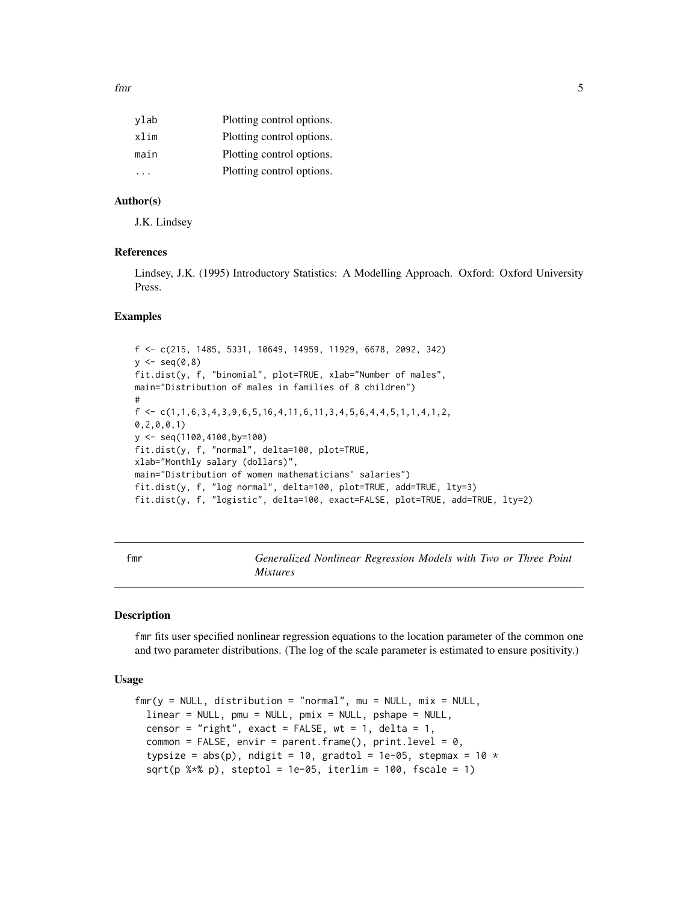<span id="page-4-0"></span>fmr 5

| vlab | Plotting control options. |
|------|---------------------------|
| xlim | Plotting control options. |
| main | Plotting control options. |
| .    | Plotting control options. |

# Author(s)

J.K. Lindsey

# References

Lindsey, J.K. (1995) Introductory Statistics: A Modelling Approach. Oxford: Oxford University Press.

#### Examples

f <- c(215, 1485, 5331, 10649, 14959, 11929, 6678, 2092, 342)  $y \leftarrow \text{seq}(0, 8)$ fit.dist(y, f, "binomial", plot=TRUE, xlab="Number of males", main="Distribution of males in families of 8 children") #  $f \leftarrow c(1, 1, 6, 3, 4, 3, 9, 6, 5, 16, 4, 11, 6, 11, 3, 4, 5, 6, 4, 4, 5, 1, 1, 4, 1, 2,$ 0,2,0,0,1) y <- seq(1100,4100,by=100) fit.dist(y, f, "normal", delta=100, plot=TRUE, xlab="Monthly salary (dollars)", main="Distribution of women mathematicians' salaries") fit.dist(y, f, "log normal", delta=100, plot=TRUE, add=TRUE, lty=3) fit.dist(y, f, "logistic", delta=100, exact=FALSE, plot=TRUE, add=TRUE, lty=2)

<span id="page-4-1"></span>fmr *Generalized Nonlinear Regression Models with Two or Three Point Mixtures*

# Description

fmr fits user specified nonlinear regression equations to the location parameter of the common one and two parameter distributions. (The log of the scale parameter is estimated to ensure positivity.)

# Usage

```
\text{fmr}(y = \text{NULL}, \text{distribution} = \text{"normal", mu = NULL}, \text{mix} = \text{NULL},linear = NULL, pmu = NULL, pmix = NULL, pshape = NULL,
  censor = "right", exact = FALSE, wt = 1, delta = 1,
  common = FALSE, envir = parent.frame(), print.level = 0,
  typsize = abs(p), ndigit = 10, gradtol = 1e-05, stepmax = 10 *sqrt(p %x p), steptol = 1e-05, iterlim = 100, fscale = 1)
```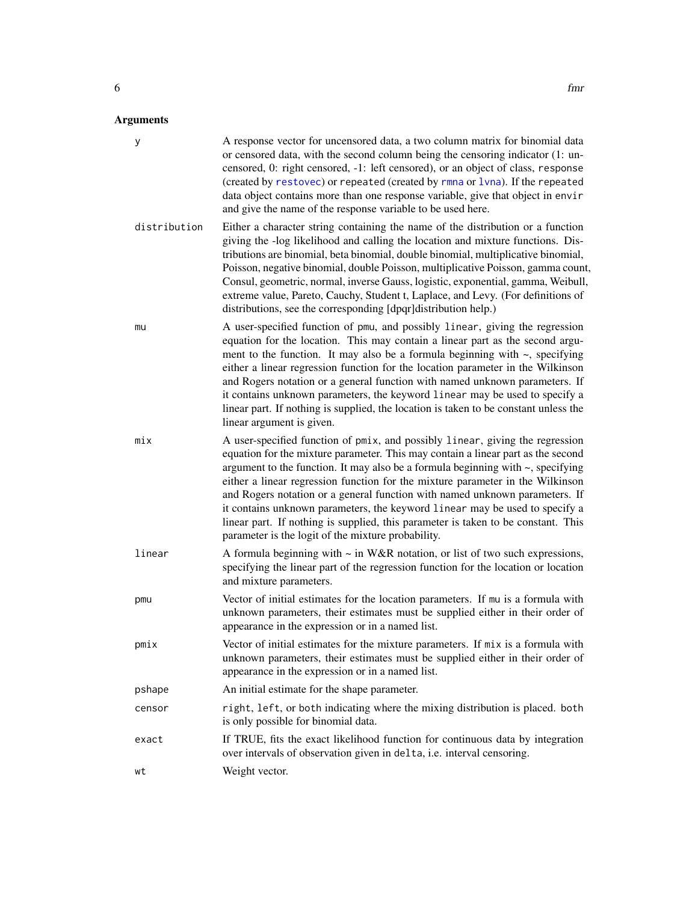#### <span id="page-5-0"></span>Arguments

y A response vector for uncensored data, a two column matrix for binomial data or censored data, with the second column being the censoring indicator (1: uncensored, 0: right censored, -1: left censored), or an object of class, response (created by [restovec](#page-0-0)) or repeated (created by [rmna](#page-0-0) or [lvna](#page-0-0)). If the repeated data object contains more than one response variable, give that object in envir and give the name of the response variable to be used here. distribution Either a character string containing the name of the distribution or a function giving the -log likelihood and calling the location and mixture functions. Distributions are binomial, beta binomial, double binomial, multiplicative binomial, Poisson, negative binomial, double Poisson, multiplicative Poisson, gamma count, Consul, geometric, normal, inverse Gauss, logistic, exponential, gamma, Weibull, extreme value, Pareto, Cauchy, Student t, Laplace, and Levy. (For definitions of distributions, see the corresponding [dpqr]distribution help.) mu A user-specified function of pmu, and possibly linear, giving the regression equation for the location. This may contain a linear part as the second argument to the function. It may also be a formula beginning with  $\sim$ , specifying either a linear regression function for the location parameter in the Wilkinson and Rogers notation or a general function with named unknown parameters. If it contains unknown parameters, the keyword linear may be used to specify a linear part. If nothing is supplied, the location is taken to be constant unless the linear argument is given. mix A user-specified function of pmix, and possibly linear, giving the regression equation for the mixture parameter. This may contain a linear part as the second argument to the function. It may also be a formula beginning with  $\sim$ , specifying either a linear regression function for the mixture parameter in the Wilkinson and Rogers notation or a general function with named unknown parameters. If it contains unknown parameters, the keyword linear may be used to specify a linear part. If nothing is supplied, this parameter is taken to be constant. This parameter is the logit of the mixture probability. linear A formula beginning with ~ in W&R notation, or list of two such expressions, specifying the linear part of the regression function for the location or location and mixture parameters. pmu Vector of initial estimates for the location parameters. If mu is a formula with unknown parameters, their estimates must be supplied either in their order of appearance in the expression or in a named list. pmix Vector of initial estimates for the mixture parameters. If mix is a formula with unknown parameters, their estimates must be supplied either in their order of appearance in the expression or in a named list. pshape An initial estimate for the shape parameter. censor right, left, or both indicating where the mixing distribution is placed. both is only possible for binomial data. exact If TRUE, fits the exact likelihood function for continuous data by integration over intervals of observation given in delta, i.e. interval censoring. wt Weight vector.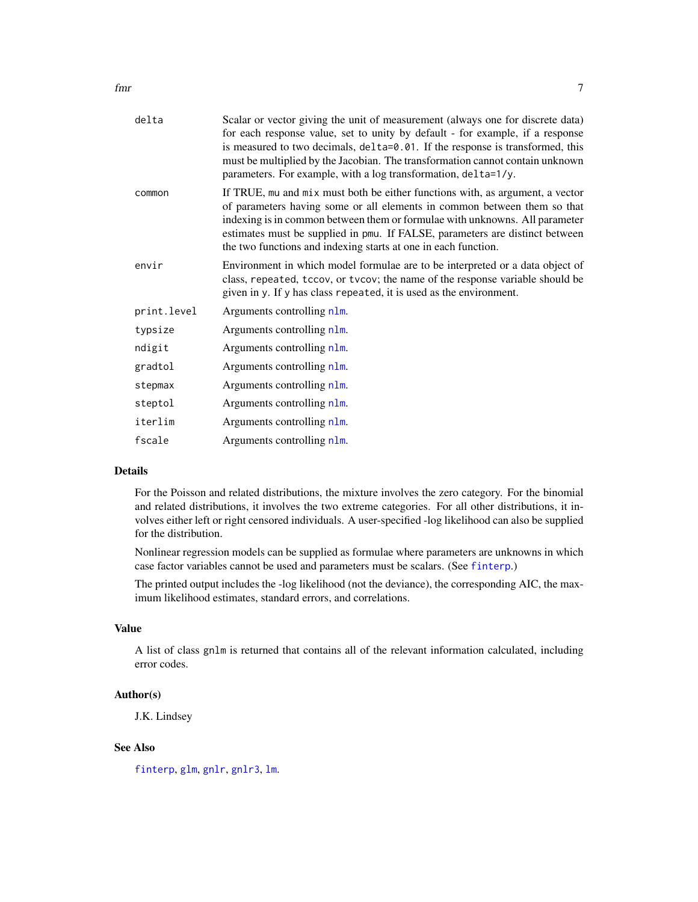<span id="page-6-0"></span>

| delta       | Scalar or vector giving the unit of measurement (always one for discrete data)<br>for each response value, set to unity by default - for example, if a response<br>is measured to two decimals, delta=0.01. If the response is transformed, this<br>must be multiplied by the Jacobian. The transformation cannot contain unknown<br>parameters. For example, with a log transformation, delta=1/y. |
|-------------|-----------------------------------------------------------------------------------------------------------------------------------------------------------------------------------------------------------------------------------------------------------------------------------------------------------------------------------------------------------------------------------------------------|
| common      | If TRUE, mu and mix must both be either functions with, as argument, a vector<br>of parameters having some or all elements in common between them so that<br>indexing is in common between them or formulae with unknowns. All parameter<br>estimates must be supplied in pmu. If FALSE, parameters are distinct between<br>the two functions and indexing starts at one in each function.          |
| envir       | Environment in which model formulae are to be interpreted or a data object of<br>class, repeated, tccov, or tvcov; the name of the response variable should be<br>given in y. If y has class repeated, it is used as the environment.                                                                                                                                                               |
| print.level | Arguments controlling n1m.                                                                                                                                                                                                                                                                                                                                                                          |
| typsize     | Arguments controlling n1m.                                                                                                                                                                                                                                                                                                                                                                          |
| ndigit      | Arguments controlling n1m.                                                                                                                                                                                                                                                                                                                                                                          |
| gradtol     | Arguments controlling nlm.                                                                                                                                                                                                                                                                                                                                                                          |
| stepmax     | Arguments controlling nlm.                                                                                                                                                                                                                                                                                                                                                                          |
| steptol     | Arguments controlling n1m.                                                                                                                                                                                                                                                                                                                                                                          |
| iterlim     | Arguments controlling n1m.                                                                                                                                                                                                                                                                                                                                                                          |
| fscale      | Arguments controlling nlm.                                                                                                                                                                                                                                                                                                                                                                          |
|             |                                                                                                                                                                                                                                                                                                                                                                                                     |

# Details

For the Poisson and related distributions, the mixture involves the zero category. For the binomial and related distributions, it involves the two extreme categories. For all other distributions, it involves either left or right censored individuals. A user-specified -log likelihood can also be supplied for the distribution.

Nonlinear regression models can be supplied as formulae where parameters are unknowns in which case factor variables cannot be used and parameters must be scalars. (See [finterp](#page-0-0).)

The printed output includes the -log likelihood (not the deviance), the corresponding AIC, the maximum likelihood estimates, standard errors, and correlations.

# Value

A list of class gnlm is returned that contains all of the relevant information calculated, including error codes.

#### Author(s)

J.K. Lindsey

#### See Also

[finterp](#page-0-0), [glm](#page-0-0), [gnlr](#page-8-1), [gnlr3](#page-12-1), [lm](#page-0-0).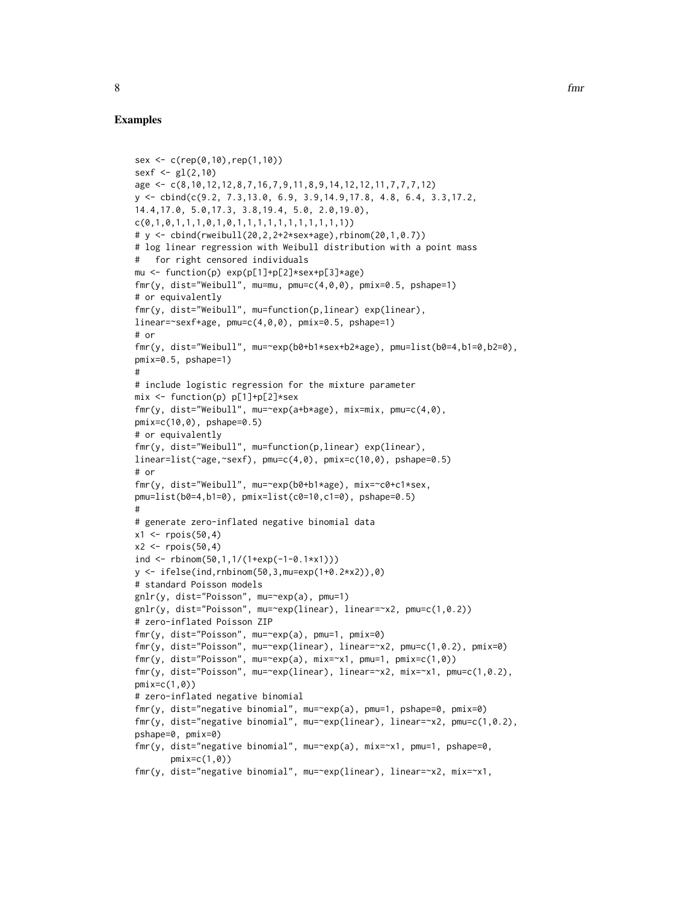```
sex <- c(rep(0,10),rep(1,10))
sexf \leq gl(2,10)
age <- c(8,10,12,12,8,7,16,7,9,11,8,9,14,12,12,11,7,7,7,12)
y <- cbind(c(9.2, 7.3,13.0, 6.9, 3.9,14.9,17.8, 4.8, 6.4, 3.3,17.2,
14.4,17.0, 5.0,17.3, 3.8,19.4, 5.0, 2.0,19.0),
c(0,1,0,1,1,1,0,1,0,1,1,1,1,1,1,1,1,1,1,1))
# y <- cbind(rweibull(20,2,2+2*sex+age),rbinom(20,1,0.7))
# log linear regression with Weibull distribution with a point mass
# for right censored individuals
mu <- function(p) exp(p[1]+p[2]*sex+p[3]*age)
fmr(y, dist="Weibull", mu=mu, pmu=c(4,0,0), pmix=0.5, pshape=1)
# or equivalently
fmr(y, dist="Weibull", mu=function(p,linear) exp(linear),
linear=~sexf+age, pmu=c(4,0,0), pmix=0.5, pshape=1)
# or
fmr(y, dist="Weibull", mu=~exp(b0+b1*sex+b2*age), pmu=list(b0=4,b1=0,b2=0),
pmix=0.5, pshape=1)
#
# include logistic regression for the mixture parameter
mix \leftarrow function(p) p[1]+p[2]*sexfmr(y, dist="Weibull", mu=~exp(a+b*age), mix=mix, pmu=c(4,0),
pmix=c(10,0), pshape=0.5)
# or equivalently
fmr(y, dist="Weibull", mu=function(p,linear) exp(linear),
linear=list(\text{qge}, \text{sser}), pmu=c(4,0), pmix=c(10,0), pshape=0.5)
# or
fmr(y, dist="Weibull", mu=~exp(b0+b1*age), mix=~c0+c1*sex,
pmu=list(b0=4,b1=0), pmix=list(c0=10,c1=0), pshape=0.5)
#
# generate zero-inflated negative binomial data
x1 \le - rpois(50,4)
x2 \le rpois(50,4)
ind \le rbinom(50,1,1/(1+exp(-1-0.1*x1)))
y \le - ifelse(ind,rnbinom(50,3,mu=exp(1+0.2*x2)),0)
# standard Poisson models
gnlr(y, dist="Poisson", mu=~exp(a), pmu=1)
gnlr(y, dist="Poisson", mu=~exp(linear), linear=~x2, pmu=c(1,0.2))
# zero-inflated Poisson ZIP
fmr(y, dist="Poisson", mu=~exp(a), pmu=1, pmix=0)
fmr(y, dist="Poisson", mu=~exp(linear), linear=~x2, pmu=c(1,0.2), pmix=0)
fmr(y, dist="Poisson", mu=~exp(a), mix=~x1, pmu=1, pmix=c(1,0))
fmr(y, dist="Poisson", mu=~exp(linear), linear=~x2, mix=~x1, pmu=c(1,0.2),
pmix=c(1,0))
# zero-inflated negative binomial
fmr(y, dist="negative binomial", mu=~exp(a), pmu=1, pshape=0, pmix=0)
fmr(y, dist="negative binomial", mu=~exp(linear), linear=~x2, pmu=c(1,0.2),
pshape=0, pmix=0)
fmr(y, dist="negative binomial", mu=~exp(a), mix=~x1, pmu=1, pshape=0,
       pmix=c(1,0)fmr(y, dist="negative binomial", mu=~exp(linear), linear=~x2, mix=~x1,
```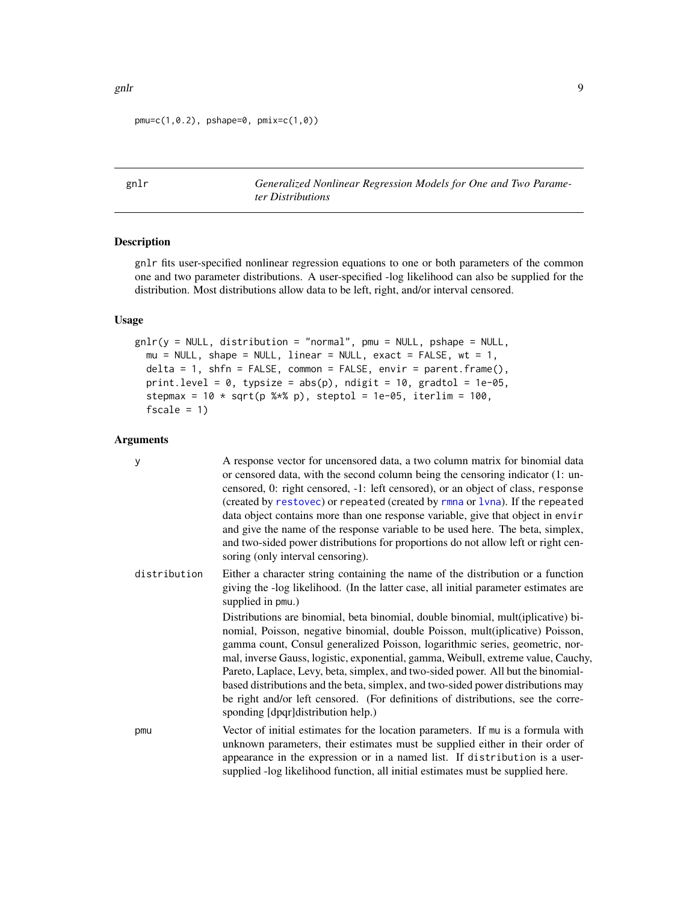pmu=c(1,0.2), pshape=0, pmix=c(1,0))

<span id="page-8-1"></span>gnlr *Generalized Nonlinear Regression Models for One and Two Parameter Distributions*

# Description

gnlr fits user-specified nonlinear regression equations to one or both parameters of the common one and two parameter distributions. A user-specified -log likelihood can also be supplied for the distribution. Most distributions allow data to be left, right, and/or interval censored.

# Usage

```
gnlr(y = NULL, distribution = "normal", pmu = NULL, pshape = NULL,mu = NULL, shape = NULL, linear = NULL, exact = FALSE, wt = 1,
  delta = 1, shfn = FALSE, common = FALSE, envir = parent.frame(),
  print.level = 0, typsize = abs(p), ndigit = 10, gradtol = 1e-05,
  stepmax = 10 \times \sqrt{9} (p %*% p), steptol = 1e-05, iterlim = 100,
  fscale = 1)
```
# Arguments

| y            | A response vector for uncensored data, a two column matrix for binomial data<br>or censored data, with the second column being the censoring indicator (1: un-<br>censored, 0: right censored, -1: left censored), or an object of class, response<br>(created by restovec) or repeated (created by rmna or lvna). If the repeated<br>data object contains more than one response variable, give that object in envir<br>and give the name of the response variable to be used here. The beta, simplex,<br>and two-sided power distributions for proportions do not allow left or right cen-<br>soring (only interval censoring). |
|--------------|-----------------------------------------------------------------------------------------------------------------------------------------------------------------------------------------------------------------------------------------------------------------------------------------------------------------------------------------------------------------------------------------------------------------------------------------------------------------------------------------------------------------------------------------------------------------------------------------------------------------------------------|
| distribution | Either a character string containing the name of the distribution or a function<br>giving the -log likelihood. (In the latter case, all initial parameter estimates are<br>supplied in pmu.)<br>Distributions are binomial, beta binomial, double binomial, mult(iplicative) bi-                                                                                                                                                                                                                                                                                                                                                  |
|              | nomial, Poisson, negative binomial, double Poisson, mult(iplicative) Poisson,<br>gamma count, Consul generalized Poisson, logarithmic series, geometric, nor-<br>mal, inverse Gauss, logistic, exponential, gamma, Weibull, extreme value, Cauchy,<br>Pareto, Laplace, Levy, beta, simplex, and two-sided power. All but the binomial-<br>based distributions and the beta, simplex, and two-sided power distributions may<br>be right and/or left censored. (For definitions of distributions, see the corre-<br>sponding [dpqr]distribution help.)                                                                              |
| pmu          | Vector of initial estimates for the location parameters. If mu is a formula with<br>unknown parameters, their estimates must be supplied either in their order of<br>appearance in the expression or in a named list. If distribution is a user-<br>supplied -log likelihood function, all initial estimates must be supplied here.                                                                                                                                                                                                                                                                                               |

<span id="page-8-0"></span>gnlr the contract of the contract of the contract of the contract of the contract of the contract of the contract of the contract of the contract of the contract of the contract of the contract of the contract of the contr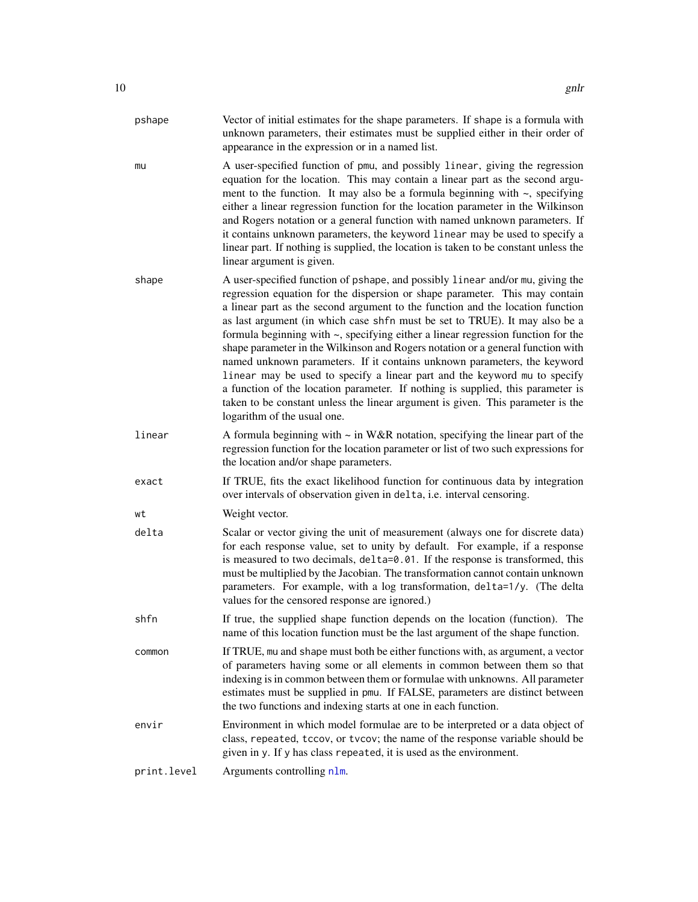<span id="page-9-0"></span>

| pshape      | Vector of initial estimates for the shape parameters. If shape is a formula with<br>unknown parameters, their estimates must be supplied either in their order of<br>appearance in the expression or in a named list.                                                                                                                                                                                                                                                                                                                                                                                                                                                                                                                                                                                                                                               |
|-------------|---------------------------------------------------------------------------------------------------------------------------------------------------------------------------------------------------------------------------------------------------------------------------------------------------------------------------------------------------------------------------------------------------------------------------------------------------------------------------------------------------------------------------------------------------------------------------------------------------------------------------------------------------------------------------------------------------------------------------------------------------------------------------------------------------------------------------------------------------------------------|
| mu          | A user-specified function of pmu, and possibly linear, giving the regression<br>equation for the location. This may contain a linear part as the second argu-<br>ment to the function. It may also be a formula beginning with $\sim$ , specifying<br>either a linear regression function for the location parameter in the Wilkinson<br>and Rogers notation or a general function with named unknown parameters. If<br>it contains unknown parameters, the keyword linear may be used to specify a<br>linear part. If nothing is supplied, the location is taken to be constant unless the<br>linear argument is given.                                                                                                                                                                                                                                            |
| shape       | A user-specified function of pshape, and possibly linear and/or mu, giving the<br>regression equation for the dispersion or shape parameter. This may contain<br>a linear part as the second argument to the function and the location function<br>as last argument (in which case shfn must be set to TRUE). It may also be a<br>formula beginning with ~, specifying either a linear regression function for the<br>shape parameter in the Wilkinson and Rogers notation or a general function with<br>named unknown parameters. If it contains unknown parameters, the keyword<br>linear may be used to specify a linear part and the keyword mu to specify<br>a function of the location parameter. If nothing is supplied, this parameter is<br>taken to be constant unless the linear argument is given. This parameter is the<br>logarithm of the usual one. |
| linear      | A formula beginning with $\sim$ in W&R notation, specifying the linear part of the<br>regression function for the location parameter or list of two such expressions for<br>the location and/or shape parameters.                                                                                                                                                                                                                                                                                                                                                                                                                                                                                                                                                                                                                                                   |
| exact       | If TRUE, fits the exact likelihood function for continuous data by integration<br>over intervals of observation given in delta, i.e. interval censoring.                                                                                                                                                                                                                                                                                                                                                                                                                                                                                                                                                                                                                                                                                                            |
| wt          | Weight vector.                                                                                                                                                                                                                                                                                                                                                                                                                                                                                                                                                                                                                                                                                                                                                                                                                                                      |
| delta       | Scalar or vector giving the unit of measurement (always one for discrete data)<br>for each response value, set to unity by default. For example, if a response<br>is measured to two decimals, delta=0.01. If the response is transformed, this<br>must be multiplied by the Jacobian. The transformation cannot contain unknown<br>parameters. For example, with a log transformation, delta=1/y. (The delta<br>values for the censored response are ignored.)                                                                                                                                                                                                                                                                                                                                                                                                     |
| shfn        | If true, the supplied shape function depends on the location (function). The<br>name of this location function must be the last argument of the shape function.                                                                                                                                                                                                                                                                                                                                                                                                                                                                                                                                                                                                                                                                                                     |
| common      | If TRUE, mu and shape must both be either functions with, as argument, a vector<br>of parameters having some or all elements in common between them so that<br>indexing is in common between them or formulae with unknowns. All parameter<br>estimates must be supplied in pmu. If FALSE, parameters are distinct between<br>the two functions and indexing starts at one in each function.                                                                                                                                                                                                                                                                                                                                                                                                                                                                        |
| envir       | Environment in which model formulae are to be interpreted or a data object of<br>class, repeated, tccov, or tvcov; the name of the response variable should be<br>given in y. If y has class repeated, it is used as the environment.                                                                                                                                                                                                                                                                                                                                                                                                                                                                                                                                                                                                                               |
| print.level | Arguments controlling nlm.                                                                                                                                                                                                                                                                                                                                                                                                                                                                                                                                                                                                                                                                                                                                                                                                                                          |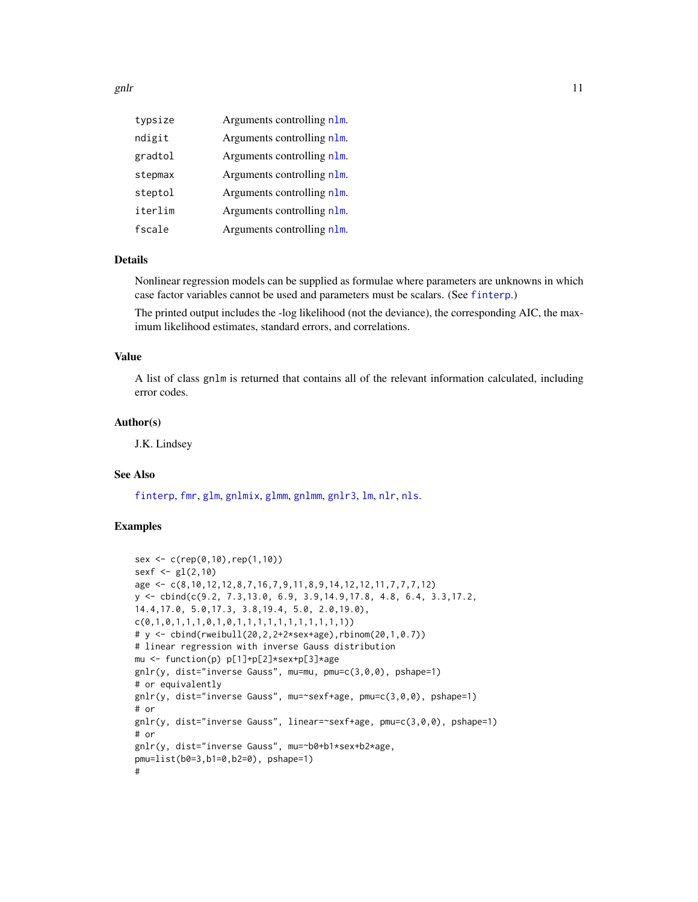<span id="page-10-0"></span>

| typsize | Arguments controlling n1m. |
|---------|----------------------------|
| ndigit  | Arguments controlling n1m. |
| gradtol | Arguments controlling n1m. |
| stepmax | Arguments controlling nlm. |
| steptol | Arguments controlling n1m. |
| iterlim | Arguments controlling n1m. |
| fscale  | Arguments controlling n1m. |

# Details

Nonlinear regression models can be supplied as formulae where parameters are unknowns in which case factor variables cannot be used and parameters must be scalars. (See [finterp](#page-0-0).)

The printed output includes the -log likelihood (not the deviance), the corresponding AIC, the maximum likelihood estimates, standard errors, and correlations.

#### Value

A list of class gnlm is returned that contains all of the relevant information calculated, including error codes.

#### Author(s)

J.K. Lindsey

# See Also

[finterp](#page-0-0), [fmr](#page-4-1), [glm](#page-0-0), [gnlmix](#page-0-0), [glmm](#page-0-0), [gnlmm](#page-0-0), [gnlr3](#page-12-1), [lm](#page-0-0), [nlr](#page-15-1), [nls](#page-0-0).

```
sex <- c(rep(0,10),rep(1,10))
sexf \leq gl(2,10)age <- c(8,10,12,12,8,7,16,7,9,11,8,9,14,12,12,11,7,7,7,12)
y <- cbind(c(9.2, 7.3,13.0, 6.9, 3.9,14.9,17.8, 4.8, 6.4, 3.3,17.2,
14.4,17.0, 5.0,17.3, 3.8,19.4, 5.0, 2.0,19.0),
c(0,1,0,1,1,1,0,1,0,1,1,1,1,1,1,1,1,1,1,1))
# y <- cbind(rweibull(20,2,2+2*sex+age),rbinom(20,1,0.7))
# linear regression with inverse Gauss distribution
mu <- function(p) p[1]+p[2]*sex+p[3]*age
gnlr(y, dist="inverse Gauss", mu=mu, pmu=c(3,0,0), pshape=1)
# or equivalently
gnlr(y, dist="inverse Gauss", mu=~sexf+age, pmu=c(3,0,0), pshape=1)
# or
gnlr(y, dist="inverse Gauss", linear=~sexf+age, pmu=c(3,0,0), pshape=1)
# or
gnlr(y, dist="inverse Gauss", mu=~b0+b1*sex+b2*age,
pmu=list(b0=3,b1=0,b2=0), pshape=1)
#
```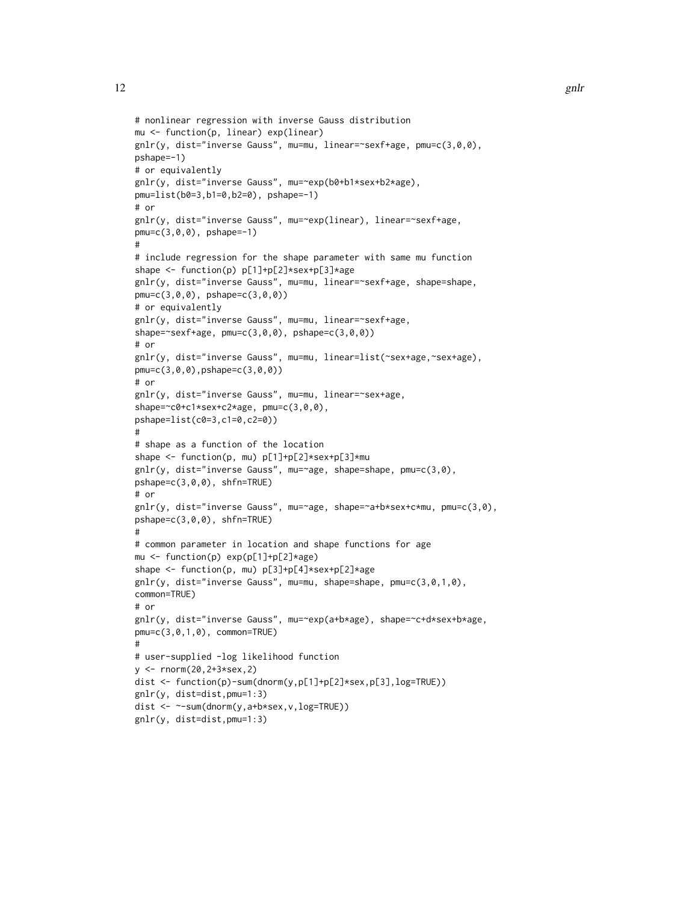```
# nonlinear regression with inverse Gauss distribution
mu <- function(p, linear) exp(linear)
gnlr(y, dist="inverse Gauss", mu=mu, linear=~sexf+age, pmu=c(3,0,0),
pshape=-1)
# or equivalently
gnlr(y, dist="inverse Gauss", mu=~exp(b0+b1*sex+b2*age),
pmu=list(b0=3,b1=0,b2=0), pshape=-1)
# or
gnlr(y, dist="inverse Gauss", mu=~exp(linear), linear=~sexf+age,
pmu=c(3,0,0), pshape=-1)
#
# include regression for the shape parameter with same mu function
shape <- function(p) p[1]+p[2]*sex+p[3]*age
gnlr(y, dist="inverse Gauss", mu=mu, linear=~sexf+age, shape=shape,
pmu=c(3,0,0), pshape=c(3,0,0))
# or equivalently
gnlr(y, dist="inverse Gauss", mu=mu, linear=~sexf+age,
shape=~sexf+age, pmu=c(3,0,0), pshape=c(3,0,0))
# or
gnlr(y, dist="inverse Gauss", mu=mu, linear=list(~sex+age,~sex+age),
pmu=c(3,0,0),pshape=c(3,0,0))
# or
gnlr(y, dist="inverse Gauss", mu=mu, linear=~sex+age,
shape=~c0+c1*sex+c2*age, pmu=c(3,0,0),
pshape=list(c0=3,c1=0,c2=0))
#
# shape as a function of the location
shape <- function(p, mu) p[1]+p[2]*sex+p[3]*mu
gnlr(y, dist="inverse Gauss", mu=~age, shape=shape, pmu=c(3,0),
pshape=c(3,0,0), shfn=TRUE)
# or
gnlr(y, dist="inverse Gauss", mu=~age, shape=~a+b*sex+c*mu, pmu=c(3,0),
pshape=c(3,0,0), shfn=TRUE)
#
# common parameter in location and shape functions for age
mu <- function(p) exp(p[1]+p[2]*age)
shape <- function(p, mu) p[3]+p[4]*sex+p[2]*age
gnlr(y, dist="inverse Gauss", mu=mu, shape=shape, pmu=c(3,0,1,0),
common=TRUE)
# or
gnlr(y, dist="inverse Gauss", mu=~exp(a+b*age), shape=~c+d*sex+b*age,
pmu=c(3,0,1,0), common=TRUE)
#
# user-supplied -log likelihood function
y <- rnorm(20,2+3*sex,2)
dist <- function(p)-sum(dnorm(y,p[1]+p[2]*sex,p[3],log=TRUE))
gnlr(y, dist=dist,pmu=1:3)
dist <- ~-sum(dnorm(y,a+b*sex,v,log=TRUE))
gnlr(y, dist=dist,pmu=1:3)
```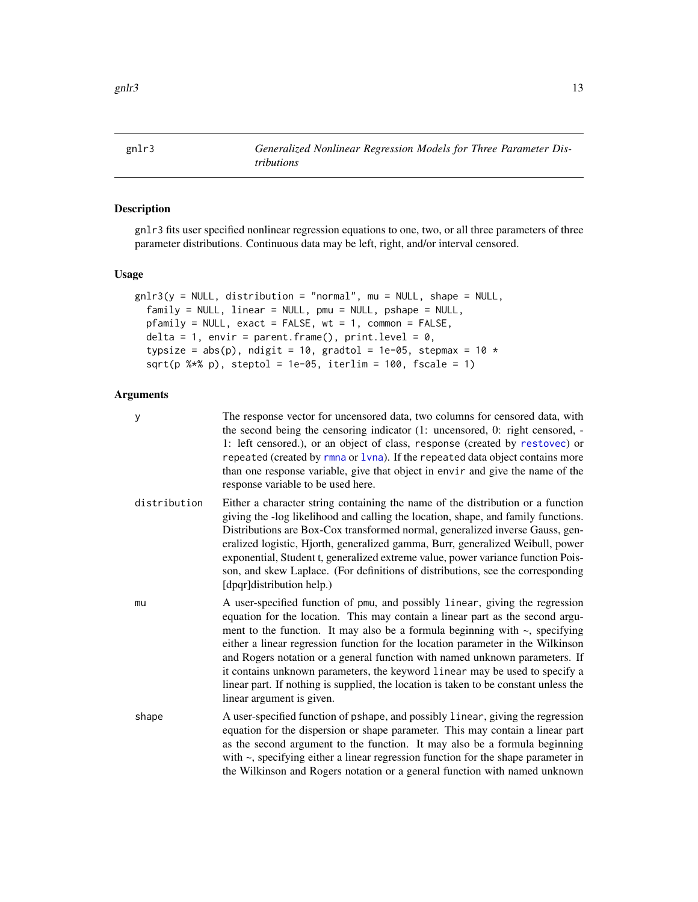<span id="page-12-0"></span>gnlr $3$  13

<span id="page-12-1"></span>

# Description

gnlr3 fits user specified nonlinear regression equations to one, two, or all three parameters of three parameter distributions. Continuous data may be left, right, and/or interval censored.

# Usage

```
gnlr3(y = NULL, distribution = "normal", mu = NULL, shape = NULL,family = NULL, linear = NULL, pmu = NULL, pshape = NULL,
 pfamily = NULL, exact = FALSE, wt = 1, common = FALSE,
  delta = 1, envir = parent.frame(), print.level = 0,
  typsize = abs(p), ndigit = 10, gradtol = 1e-05, stepmax = 10 *sqrt(p %*% p), steptol = 1e-05, iterlim = 100, fscale = 1)
```
# Arguments

| у            | The response vector for uncensored data, two columns for censored data, with<br>the second being the censoring indicator (1: uncensored, 0: right censored, -<br>1: left censored.), or an object of class, response (created by restovec) or<br>repeated (created by rmna or 1vna). If the repeated data object contains more<br>than one response variable, give that object in envir and give the name of the<br>response variable to be used here.                                                                                                                                                                   |
|--------------|--------------------------------------------------------------------------------------------------------------------------------------------------------------------------------------------------------------------------------------------------------------------------------------------------------------------------------------------------------------------------------------------------------------------------------------------------------------------------------------------------------------------------------------------------------------------------------------------------------------------------|
| distribution | Either a character string containing the name of the distribution or a function<br>giving the -log likelihood and calling the location, shape, and family functions.<br>Distributions are Box-Cox transformed normal, generalized inverse Gauss, gen-<br>eralized logistic, Hjorth, generalized gamma, Burr, generalized Weibull, power<br>exponential, Student t, generalized extreme value, power variance function Pois-<br>son, and skew Laplace. (For definitions of distributions, see the corresponding<br>[dpqr]distribution help.)                                                                              |
| mu           | A user-specified function of pmu, and possibly linear, giving the regression<br>equation for the location. This may contain a linear part as the second argu-<br>ment to the function. It may also be a formula beginning with $\sim$ , specifying<br>either a linear regression function for the location parameter in the Wilkinson<br>and Rogers notation or a general function with named unknown parameters. If<br>it contains unknown parameters, the keyword linear may be used to specify a<br>linear part. If nothing is supplied, the location is taken to be constant unless the<br>linear argument is given. |
| shape        | A user-specified function of pshape, and possibly linear, giving the regression<br>equation for the dispersion or shape parameter. This may contain a linear part<br>as the second argument to the function. It may also be a formula beginning<br>with $\sim$ , specifying either a linear regression function for the shape parameter in<br>the Wilkinson and Rogers notation or a general function with named unknown                                                                                                                                                                                                 |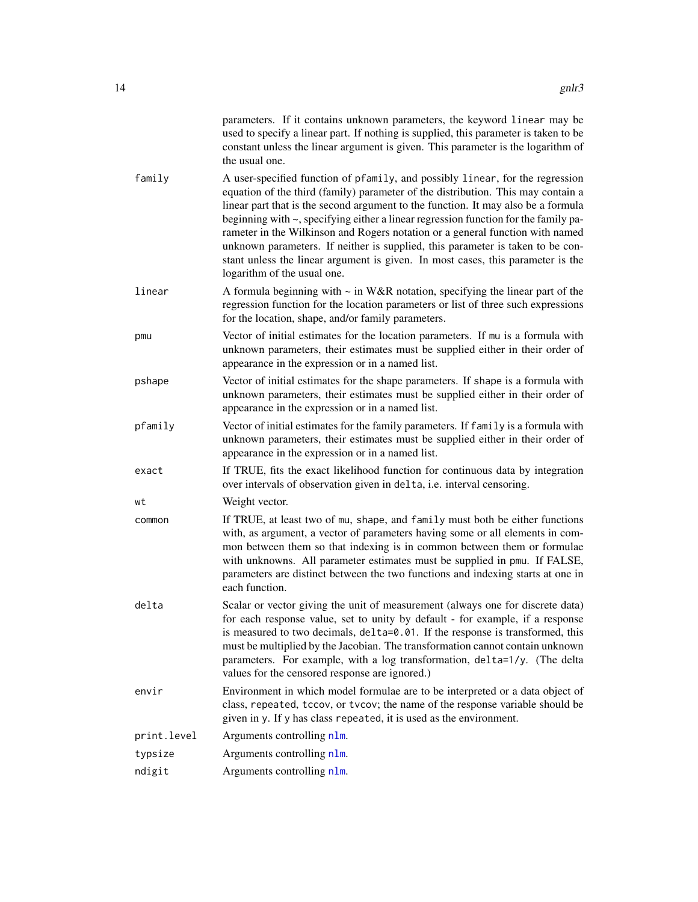<span id="page-13-0"></span>

|             | parameters. If it contains unknown parameters, the keyword linear may be<br>used to specify a linear part. If nothing is supplied, this parameter is taken to be<br>constant unless the linear argument is given. This parameter is the logarithm of<br>the usual one.                                                                                                                                                                                                                                                                                                                                                             |
|-------------|------------------------------------------------------------------------------------------------------------------------------------------------------------------------------------------------------------------------------------------------------------------------------------------------------------------------------------------------------------------------------------------------------------------------------------------------------------------------------------------------------------------------------------------------------------------------------------------------------------------------------------|
| family      | A user-specified function of pfamily, and possibly linear, for the regression<br>equation of the third (family) parameter of the distribution. This may contain a<br>linear part that is the second argument to the function. It may also be a formula<br>beginning with ~, specifying either a linear regression function for the family pa-<br>rameter in the Wilkinson and Rogers notation or a general function with named<br>unknown parameters. If neither is supplied, this parameter is taken to be con-<br>stant unless the linear argument is given. In most cases, this parameter is the<br>logarithm of the usual one. |
| linear      | A formula beginning with $\sim$ in W&R notation, specifying the linear part of the<br>regression function for the location parameters or list of three such expressions<br>for the location, shape, and/or family parameters.                                                                                                                                                                                                                                                                                                                                                                                                      |
| pmu         | Vector of initial estimates for the location parameters. If mu is a formula with<br>unknown parameters, their estimates must be supplied either in their order of<br>appearance in the expression or in a named list.                                                                                                                                                                                                                                                                                                                                                                                                              |
| pshape      | Vector of initial estimates for the shape parameters. If shape is a formula with<br>unknown parameters, their estimates must be supplied either in their order of<br>appearance in the expression or in a named list.                                                                                                                                                                                                                                                                                                                                                                                                              |
| pfamily     | Vector of initial estimates for the family parameters. If family is a formula with<br>unknown parameters, their estimates must be supplied either in their order of<br>appearance in the expression or in a named list.                                                                                                                                                                                                                                                                                                                                                                                                            |
| exact       | If TRUE, fits the exact likelihood function for continuous data by integration<br>over intervals of observation given in delta, i.e. interval censoring.                                                                                                                                                                                                                                                                                                                                                                                                                                                                           |
| wt          | Weight vector.                                                                                                                                                                                                                                                                                                                                                                                                                                                                                                                                                                                                                     |
| common      | If TRUE, at least two of mu, shape, and family must both be either functions<br>with, as argument, a vector of parameters having some or all elements in com-<br>mon between them so that indexing is in common between them or formulae<br>with unknowns. All parameter estimates must be supplied in pmu. If FALSE,<br>parameters are distinct between the two functions and indexing starts at one in<br>each function.                                                                                                                                                                                                         |
| delta       | Scalar or vector giving the unit of measurement (always one for discrete data)<br>for each response value, set to unity by default - for example, if a response<br>is measured to two decimals, delta=0.01. If the response is transformed, this<br>must be multiplied by the Jacobian. The transformation cannot contain unknown<br>parameters. For example, with a log transformation, delta=1/y. (The delta<br>values for the censored response are ignored.)                                                                                                                                                                   |
| envir       | Environment in which model formulae are to be interpreted or a data object of<br>class, repeated, tccov, or tvcov; the name of the response variable should be<br>given in y. If y has class repeated, it is used as the environment.                                                                                                                                                                                                                                                                                                                                                                                              |
| print.level | Arguments controlling nlm.                                                                                                                                                                                                                                                                                                                                                                                                                                                                                                                                                                                                         |
| typsize     | Arguments controlling n1m.                                                                                                                                                                                                                                                                                                                                                                                                                                                                                                                                                                                                         |
| ndigit      | Arguments controlling n1m.                                                                                                                                                                                                                                                                                                                                                                                                                                                                                                                                                                                                         |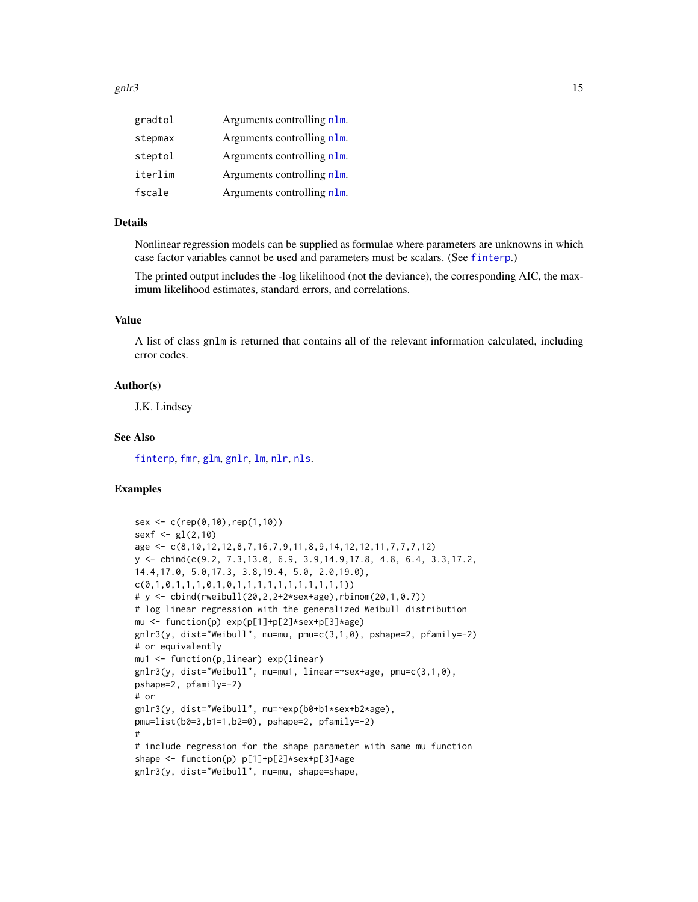#### <span id="page-14-0"></span>gnlr $3$  15

| gradtol | Arguments controlling nlm. |
|---------|----------------------------|
| stepmax | Arguments controlling nlm. |
| steptol | Arguments controlling nlm. |
| iterlim | Arguments controlling nlm. |
| fscale  | Arguments controlling nlm. |

# Details

Nonlinear regression models can be supplied as formulae where parameters are unknowns in which case factor variables cannot be used and parameters must be scalars. (See [finterp](#page-0-0).)

The printed output includes the -log likelihood (not the deviance), the corresponding AIC, the maximum likelihood estimates, standard errors, and correlations.

# Value

A list of class gnlm is returned that contains all of the relevant information calculated, including error codes.

#### Author(s)

J.K. Lindsey

#### See Also

[finterp](#page-0-0), [fmr](#page-4-1), [glm](#page-0-0), [gnlr](#page-8-1), [lm](#page-0-0), [nlr](#page-15-1), [nls](#page-0-0).

```
sex <- c(rep(0,10),rep(1,10))
sexf \leq gl(2,10)age <- c(8,10,12,12,8,7,16,7,9,11,8,9,14,12,12,11,7,7,7,12)
y <- cbind(c(9.2, 7.3,13.0, 6.9, 3.9,14.9,17.8, 4.8, 6.4, 3.3,17.2,
14.4,17.0, 5.0,17.3, 3.8,19.4, 5.0, 2.0,19.0),
c(0,1,0,1,1,1,0,1,0,1,1,1,1,1,1,1,1,1,1,1))
# y <- cbind(rweibull(20,2,2+2*sex+age),rbinom(20,1,0.7))
# log linear regression with the generalized Weibull distribution
mu <- function(p) exp(p[1]+p[2]*sex+p[3]*age)
gnlr3(y, dist="Weibull", mu=mu, pmu=c(3,1,0), pshape=2, pfamily=-2)
# or equivalently
mu1 <- function(p,linear) exp(linear)
gnlr3(y, dist="Weibull", mu=mu1, linear=~sex+age, pmu=c(3,1,0),
pshape=2, pfamily=-2)
# or
gnlr3(y, dist="Weibull", mu=~exp(b0+b1*sex+b2*age),
pmu=list(b0=3,b1=1,b2=0), pshape=2, pfamily=-2)
#
# include regression for the shape parameter with same mu function
shape <- function(p) p[1]+p[2]*sex+p[3]*age
gnlr3(y, dist="Weibull", mu=mu, shape=shape,
```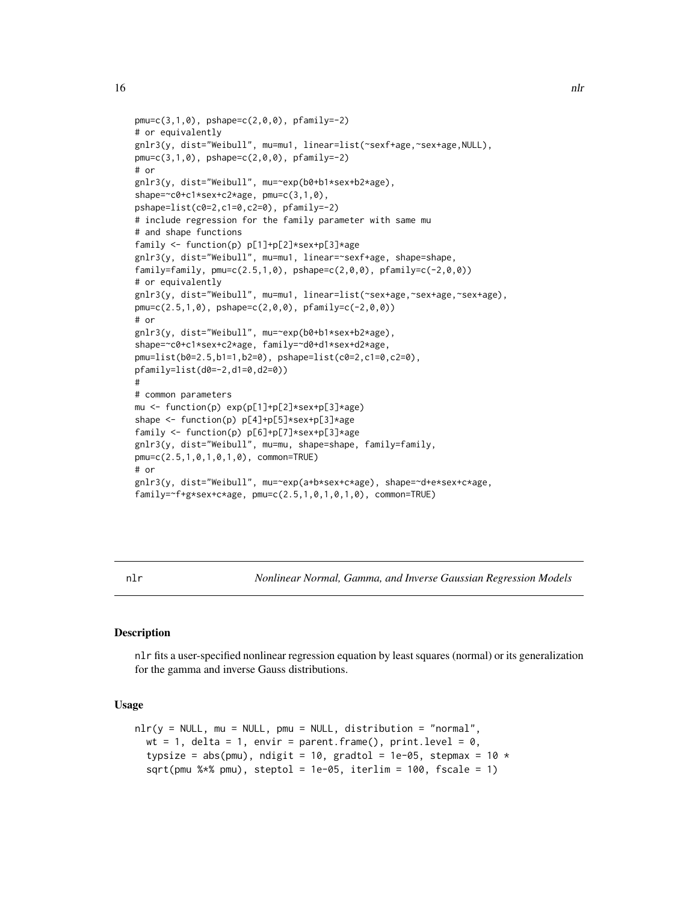```
pmu=c(3,1,0), pshape=c(2,0,0), pfamily=-2)# or equivalently
gnlr3(y, dist="Weibull", mu=mu1, linear=list(~sexf+age,~sex+age,NULL),
pmu=c(3,1,0), pshape=c(2,0,0), pfamily=-2)# or
gnlr3(y, dist="Weibull", mu=~exp(b0+b1*sex+b2*age),
shape=~c0+c1*sex+c2*age, pmu=c(3,1,0),
pshape=list(c0=2,c1=0,c2=0), pfamily=-2)
# include regression for the family parameter with same mu
# and shape functions
family <- function(p) p[1]+p[2]*sex+p[3]*age
gnlr3(y, dist="Weibull", mu=mu1, linear=~sexf+age, shape=shape,
family=family, pm = c(2.5, 1, 0), pshape = c(2, 0, 0), pfamily = c(-2, 0, 0)# or equivalently
gnlr3(y, dist="Weibull", mu=mu1, linear=list(~sex+age,~sex+age,~sex+age),
pmu=c(2.5,1,0), pshape=c(2,0,0), pfamily=c(-2,0,0))
# or
gnlr3(y, dist="Weibull", mu=~exp(b0+b1*sex+b2*age),
shape=~c0+c1*sex+c2*age, family=~d0+d1*sex+d2*age,
pmu=list(b0=2.5,b1=1,b2=0), pshape=list(c0=2,c1=0,c2=0),
pfamily=list(d0=-2,d1=0,d2=0))
#
# common parameters
mu <- function(p) exp(p[1]+p[2]*sex+p[3]*age)
shape <- function(p) p[4]+p[5]*sex+p[3]*age
family <- function(p) p[6]+p[7]*sex+p[3]*age
gnlr3(y, dist="Weibull", mu=mu, shape=shape, family=family,
pmu=c(2.5,1,0,1,0,1,0), common=TRUE)
# or
gnlr3(y, dist="Weibull", mu=~exp(a+b*sex+c*age), shape=~d+e*sex+c*age,
family=~f+g*sex+c*age, pmu=c(2.5,1,0,1,0,1,0), common=TRUE)
```
<span id="page-15-1"></span>nlr *Nonlinear Normal, Gamma, and Inverse Gaussian Regression Models*

# **Description**

nlr fits a user-specified nonlinear regression equation by least squares (normal) or its generalization for the gamma and inverse Gauss distributions.

#### Usage

```
nlr(y = NULL, mu = NULL, pmu = NULL, distribution = "normal",wt = 1, delta = 1, envir = parent.frame(), print.level = \theta,
  typsize = abs(pmu), ndigit = 10, gradtol = 1e-05, stepmax = 10 *sqrt(pmu %*% pmu), steptol = 1e-05, iterlim = 100, fscale = 1)
```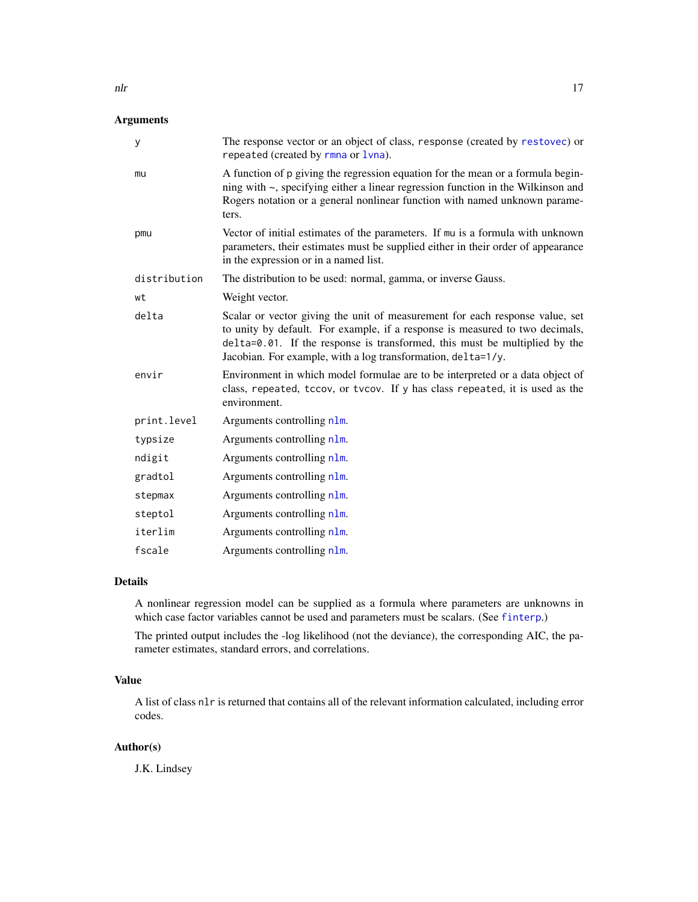# <span id="page-16-0"></span>Arguments

| У            | The response vector or an object of class, response (created by restovec) or<br>repeated (created by rmna or 1vna).                                                                                                                                                                                        |
|--------------|------------------------------------------------------------------------------------------------------------------------------------------------------------------------------------------------------------------------------------------------------------------------------------------------------------|
| mu           | A function of p giving the regression equation for the mean or a formula begin-<br>ning with $\sim$ , specifying either a linear regression function in the Wilkinson and<br>Rogers notation or a general nonlinear function with named unknown parame-<br>ters.                                           |
| pmu          | Vector of initial estimates of the parameters. If mu is a formula with unknown<br>parameters, their estimates must be supplied either in their order of appearance<br>in the expression or in a named list.                                                                                                |
| distribution | The distribution to be used: normal, gamma, or inverse Gauss.                                                                                                                                                                                                                                              |
| wt           | Weight vector.                                                                                                                                                                                                                                                                                             |
| delta        | Scalar or vector giving the unit of measurement for each response value, set<br>to unity by default. For example, if a response is measured to two decimals,<br>delta=0.01. If the response is transformed, this must be multiplied by the<br>Jacobian. For example, with a log transformation, delta=1/y. |
| envir        | Environment in which model formulae are to be interpreted or a data object of<br>class, repeated, tccov, or tvcov. If y has class repeated, it is used as the<br>environment.                                                                                                                              |
| print.level  | Arguments controlling nlm.                                                                                                                                                                                                                                                                                 |
| typsize      | Arguments controlling n1m.                                                                                                                                                                                                                                                                                 |
| ndigit       | Arguments controlling nlm.                                                                                                                                                                                                                                                                                 |
| gradtol      | Arguments controlling nlm.                                                                                                                                                                                                                                                                                 |
| stepmax      | Arguments controlling n1m.                                                                                                                                                                                                                                                                                 |
| steptol      | Arguments controlling nlm.                                                                                                                                                                                                                                                                                 |
| iterlim      | Arguments controlling nlm.                                                                                                                                                                                                                                                                                 |
| fscale       | Arguments controlling nlm.                                                                                                                                                                                                                                                                                 |

# Details

A nonlinear regression model can be supplied as a formula where parameters are unknowns in which case factor variables cannot be used and parameters must be scalars. (See [finterp](#page-0-0).)

The printed output includes the -log likelihood (not the deviance), the corresponding AIC, the parameter estimates, standard errors, and correlations.

# Value

A list of class nlr is returned that contains all of the relevant information calculated, including error codes.

# Author(s)

J.K. Lindsey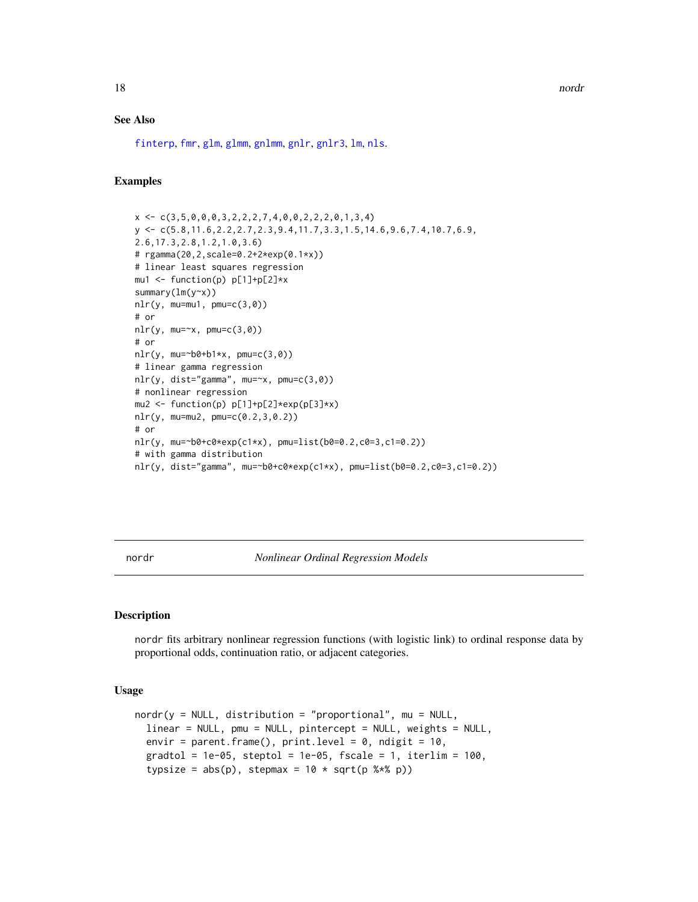<span id="page-17-0"></span>18 nordr nordr nordr nordr nordr nordr nordr nordr nordr nordr nordr nordr nordr nordr nordr nordr nordr nordr nordr nordr nordr nordr nordr nordr nordr nordr nordr nordr nordr nordr nordr nordr nordr nordr nordr nordr nor

#### See Also

[finterp](#page-0-0), [fmr](#page-4-1), [glm](#page-0-0), [glmm](#page-0-0), [gnlmm](#page-0-0), [gnlr](#page-8-1), [gnlr3](#page-12-1), [lm](#page-0-0), [nls](#page-0-0).

# Examples

```
x \leftarrow c(3, 5, 0, 0, 0, 3, 2, 2, 2, 7, 4, 0, 0, 2, 2, 2, 0, 1, 3, 4)y <- c(5.8,11.6,2.2,2.7,2.3,9.4,11.7,3.3,1.5,14.6,9.6,7.4,10.7,6.9,
2.6,17.3,2.8,1.2,1.0,3.6)
# rgamma(20,2,scale=0.2+2*exp(0.1*x))
# linear least squares regression
mu1 <- function(p) p[1]+p[2]*x
summary(lm(y~x))
nlr(y, mu=mu1, pmu=c(3,0))# or
nlr(y, mu=x, pmu=c(3,0))# or
nlr(y, mu=\text{ab}+\text{b}1\text{*x}, pmu=\text{c}(3,0))
# linear gamma regression
nlr(y, dist="gamma", mu=~x, pmu=c(3,0))
# nonlinear regression
mu2 \leq function(p) p[1]+p[2]*exp(p[3]*x)nlr(y, mu=mu2, pmu=c(0.2,3,0.2))
# or
nlr(y, mu=~b0+c0*exp(c1*x), pmu=list(b0=0.2,c0=3,c1=0.2))
# with gamma distribution
nlr(y, dist="gamma", mu=~b0+c0*exp(c1*x), pmu=list(b0=0.2,c0=3,c1=0.2))
```
<span id="page-17-1"></span>nordr *Nonlinear Ordinal Regression Models*

#### **Description**

nordr fits arbitrary nonlinear regression functions (with logistic link) to ordinal response data by proportional odds, continuation ratio, or adjacent categories.

#### Usage

```
nordr(y = NULL, distribution = "proportional", mu = NULL,linear = NULL, pmu = NULL, pintercept = NULL, weights = NULL,
 envir = parent.frame(), print.level = 0, ndigit = 10,
 gradtol = 1e-05, steptol = 1e-05, fscale = 1, iterlim = 100,
  typsize = abs(p), stepmax = 10 * sqrt(p % * % p))
```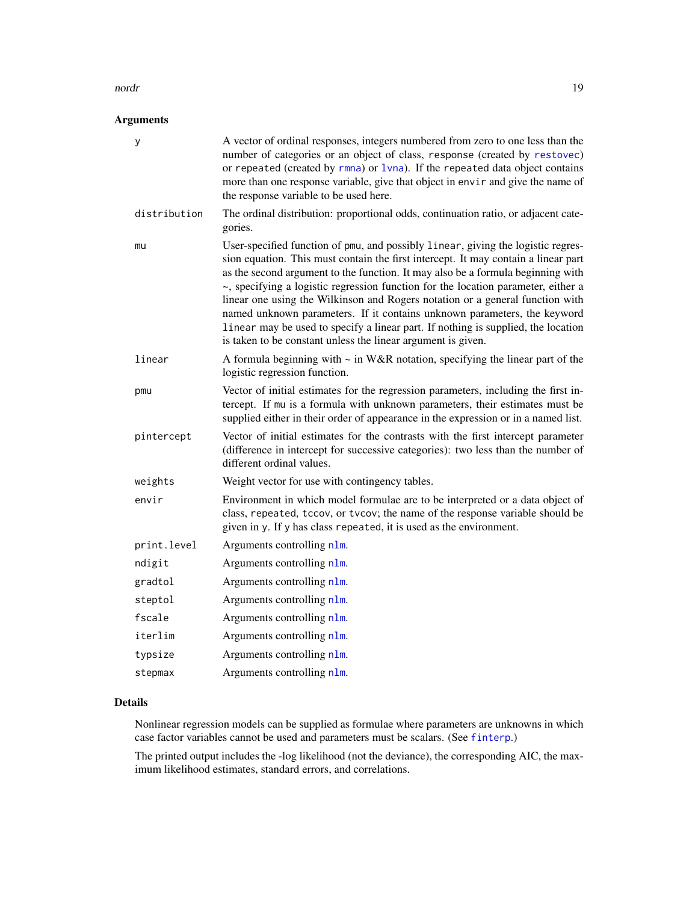#### <span id="page-18-0"></span>nordr and the set of the set of the set of the set of the set of the set of the set of the set of the set of the set of the set of the set of the set of the set of the set of the set of the set of the set of the set of the

# Arguments

| У            | A vector of ordinal responses, integers numbered from zero to one less than the<br>number of categories or an object of class, response (created by restovec)<br>or repeated (created by $r$ mna) or $1$ vna). If the repeated data object contains<br>more than one response variable, give that object in envir and give the name of<br>the response variable to be used here.                                                                                                                                                                                                                                                                                 |
|--------------|------------------------------------------------------------------------------------------------------------------------------------------------------------------------------------------------------------------------------------------------------------------------------------------------------------------------------------------------------------------------------------------------------------------------------------------------------------------------------------------------------------------------------------------------------------------------------------------------------------------------------------------------------------------|
| distribution | The ordinal distribution: proportional odds, continuation ratio, or adjacent cate-<br>gories.                                                                                                                                                                                                                                                                                                                                                                                                                                                                                                                                                                    |
| mu           | User-specified function of pmu, and possibly linear, giving the logistic regres-<br>sion equation. This must contain the first intercept. It may contain a linear part<br>as the second argument to the function. It may also be a formula beginning with<br>~, specifying a logistic regression function for the location parameter, either a<br>linear one using the Wilkinson and Rogers notation or a general function with<br>named unknown parameters. If it contains unknown parameters, the keyword<br>linear may be used to specify a linear part. If nothing is supplied, the location<br>is taken to be constant unless the linear argument is given. |
| linear       | A formula beginning with $\sim$ in W&R notation, specifying the linear part of the<br>logistic regression function.                                                                                                                                                                                                                                                                                                                                                                                                                                                                                                                                              |
| pmu          | Vector of initial estimates for the regression parameters, including the first in-<br>tercept. If mu is a formula with unknown parameters, their estimates must be<br>supplied either in their order of appearance in the expression or in a named list.                                                                                                                                                                                                                                                                                                                                                                                                         |
| pintercept   | Vector of initial estimates for the contrasts with the first intercept parameter<br>(difference in intercept for successive categories): two less than the number of<br>different ordinal values.                                                                                                                                                                                                                                                                                                                                                                                                                                                                |
| weights      | Weight vector for use with contingency tables.                                                                                                                                                                                                                                                                                                                                                                                                                                                                                                                                                                                                                   |
| envir        | Environment in which model formulae are to be interpreted or a data object of<br>class, repeated, tccov, or tvcov; the name of the response variable should be<br>given in y. If y has class repeated, it is used as the environment.                                                                                                                                                                                                                                                                                                                                                                                                                            |
| print.level  | Arguments controlling n1m.                                                                                                                                                                                                                                                                                                                                                                                                                                                                                                                                                                                                                                       |
| ndigit       | Arguments controlling nlm.                                                                                                                                                                                                                                                                                                                                                                                                                                                                                                                                                                                                                                       |
| gradtol      | Arguments controlling n1m.                                                                                                                                                                                                                                                                                                                                                                                                                                                                                                                                                                                                                                       |
| steptol      | Arguments controlling nlm.                                                                                                                                                                                                                                                                                                                                                                                                                                                                                                                                                                                                                                       |
| fscale       | Arguments controlling nlm.                                                                                                                                                                                                                                                                                                                                                                                                                                                                                                                                                                                                                                       |
| iterlim      | Arguments controlling nlm.                                                                                                                                                                                                                                                                                                                                                                                                                                                                                                                                                                                                                                       |
| typsize      | Arguments controlling nlm.                                                                                                                                                                                                                                                                                                                                                                                                                                                                                                                                                                                                                                       |
| stepmax      | Arguments controlling nlm.                                                                                                                                                                                                                                                                                                                                                                                                                                                                                                                                                                                                                                       |
|              |                                                                                                                                                                                                                                                                                                                                                                                                                                                                                                                                                                                                                                                                  |

# Details

Nonlinear regression models can be supplied as formulae where parameters are unknowns in which case factor variables cannot be used and parameters must be scalars. (See [finterp](#page-0-0).)

The printed output includes the -log likelihood (not the deviance), the corresponding AIC, the maximum likelihood estimates, standard errors, and correlations.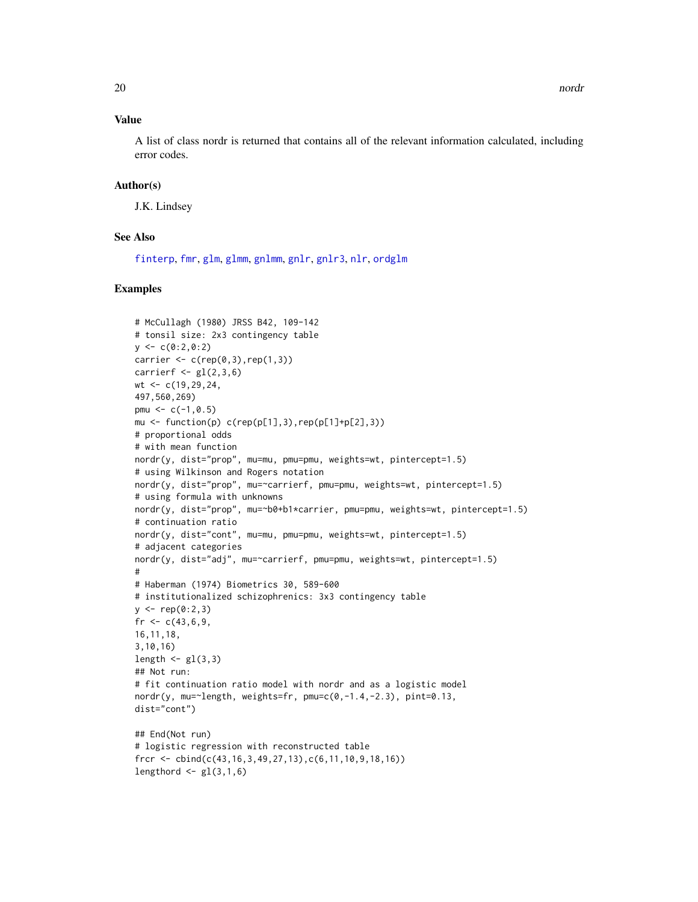# <span id="page-19-0"></span>Value

A list of class nordr is returned that contains all of the relevant information calculated, including error codes.

# Author(s)

J.K. Lindsey

# See Also

[finterp](#page-0-0), [fmr](#page-4-1), [glm](#page-0-0), [glmm](#page-0-0), [gnlmm](#page-0-0), [gnlr](#page-8-1), [gnlr3](#page-12-1), [nlr](#page-15-1), [ordglm](#page-20-1)

```
# McCullagh (1980) JRSS B42, 109-142
# tonsil size: 2x3 contingency table
y \leq -c(0:2, 0:2)carrier \leq c (rep(0,3), rep(1,3))
carrierf \leq gl(2,3,6)wt <- c(19, 29, 24,497,560,269)
pmu <-c(-1, 0.5)mu \le function(p) c(rep(p[1],3),rep(p[1]+p[2],3))
# proportional odds
# with mean function
nordr(y, dist="prop", mu=mu, pmu=pmu, weights=wt, pintercept=1.5)
# using Wilkinson and Rogers notation
nordr(y, dist="prop", mu=~carrierf, pmu=pmu, weights=wt, pintercept=1.5)
# using formula with unknowns
nordr(y, dist="prop", mu=~b0+b1*carrier, pmu=pmu, weights=wt, pintercept=1.5)
# continuation ratio
nordr(y, dist="cont", mu=mu, pmu=pmu, weights=wt, pintercept=1.5)
# adjacent categories
nordr(y, dist="adj", mu=~carrierf, pmu=pmu, weights=wt, pintercept=1.5)
#
# Haberman (1974) Biometrics 30, 589-600
# institutionalized schizophrenics: 3x3 contingency table
y \leq -rep(0:2,3)fr <-c(43,6,9,16,11,18,
3,10,16)
length \leftarrow gl(3,3)
## Not run:
# fit continuation ratio model with nordr and as a logistic model
nordr(y, mu='length, weights=fr, pmu=c(0,-1.4,-2.3), pint=0.13,dist="cont")
## End(Not run)
# logistic regression with reconstructed table
frcr <- cbind(c(43,16,3,49,27,13),c(6,11,10,9,18,16))
lengthord \leftarrow gl(3,1,6)
```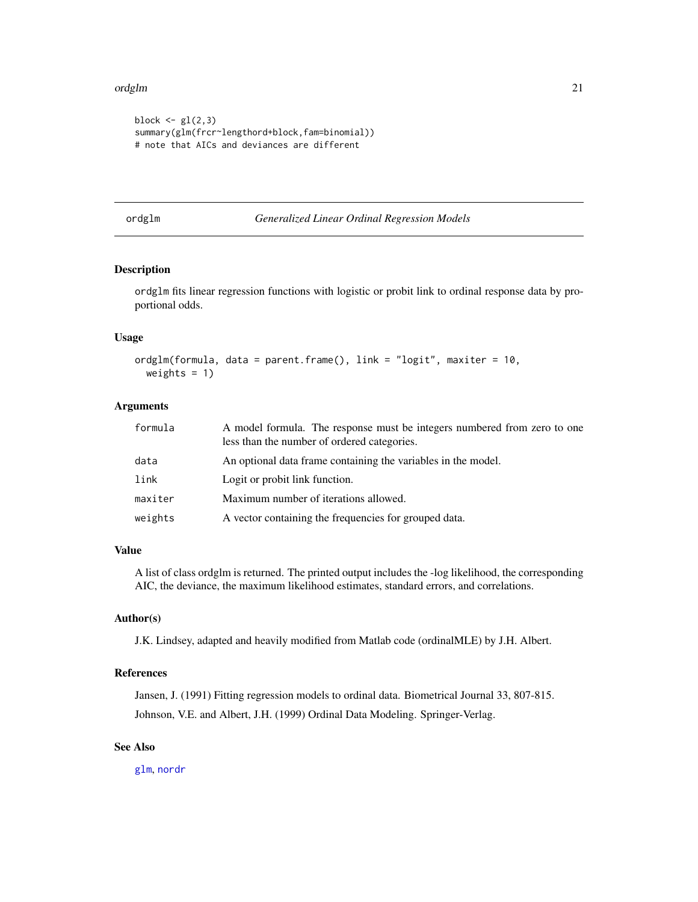#### <span id="page-20-0"></span>ordglm 21

```
block \leq gl(2,3)
summary(glm(frcr~lengthord+block,fam=binomial))
# note that AICs and deviances are different
```
#### <span id="page-20-1"></span>ordglm *Generalized Linear Ordinal Regression Models*

# Description

ordglm fits linear regression functions with logistic or probit link to ordinal response data by proportional odds.

# Usage

```
ordglm(formula, data = parent.frame(), link = "logit", maxiter = 10,
 weights = 1)
```
# Arguments

| formula | A model formula. The response must be integers numbered from zero to one<br>less than the number of ordered categories. |
|---------|-------------------------------------------------------------------------------------------------------------------------|
| data    | An optional data frame containing the variables in the model.                                                           |
| link    | Logit or probit link function.                                                                                          |
| maxiter | Maximum number of iterations allowed.                                                                                   |
| weights | A vector containing the frequencies for grouped data.                                                                   |

# Value

A list of class ordglm is returned. The printed output includes the -log likelihood, the corresponding AIC, the deviance, the maximum likelihood estimates, standard errors, and correlations.

#### Author(s)

J.K. Lindsey, adapted and heavily modified from Matlab code (ordinalMLE) by J.H. Albert.

#### References

Jansen, J. (1991) Fitting regression models to ordinal data. Biometrical Journal 33, 807-815. Johnson, V.E. and Albert, J.H. (1999) Ordinal Data Modeling. Springer-Verlag.

# See Also

[glm](#page-0-0), [nordr](#page-17-1)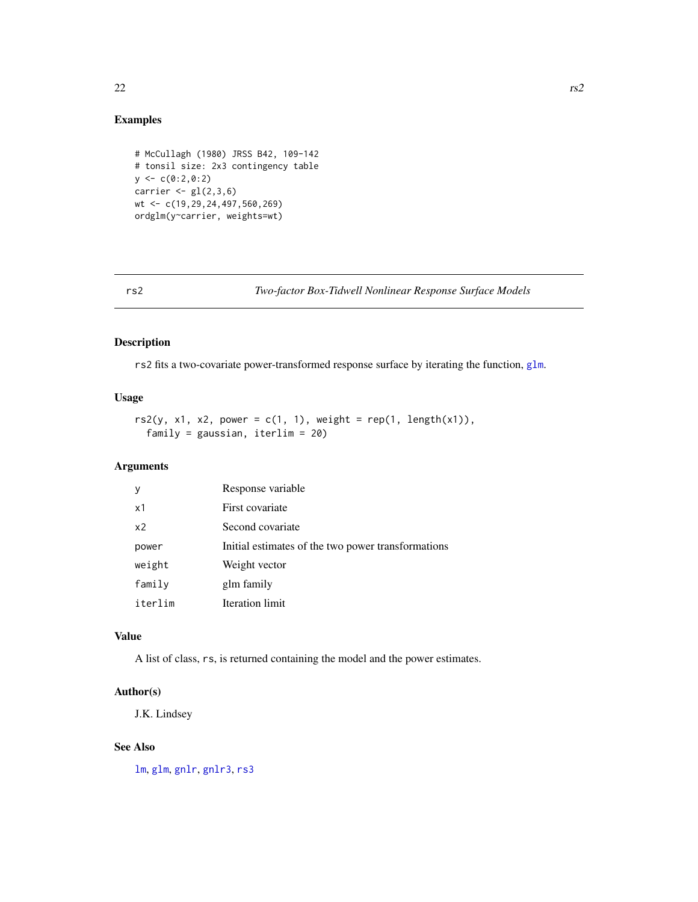# Examples

```
# McCullagh (1980) JRSS B42, 109-142
# tonsil size: 2x3 contingency table
y \leftarrow c(0:2, 0:2)carrier \leq gl(2,3,6)wt <- c(19,29,24,497,560,269)
ordglm(y~carrier, weights=wt)
```
<span id="page-21-1"></span>rs2 *Two-factor Box-Tidwell Nonlinear Response Surface Models*

# Description

rs2 fits a two-covariate power-transformed response surface by iterating the function, [glm](#page-0-0).

# Usage

```
rs2(y, x1, x2, power = c(1, 1), weight = rep(1, length(x1)),family = gaussian, iterlim = 20)
```
# Arguments

| у              | Response variable                                  |
|----------------|----------------------------------------------------|
| x1             | First covariate                                    |
| x <sub>2</sub> | Second covariate                                   |
| power          | Initial estimates of the two power transformations |
| weight         | Weight vector                                      |
| family         | glm family                                         |
| iterlim        | Iteration limit                                    |

# Value

A list of class, rs, is returned containing the model and the power estimates.

#### Author(s)

J.K. Lindsey

# See Also

[lm](#page-0-0), [glm](#page-0-0), [gnlr](#page-8-1), [gnlr3](#page-12-1), [rs3](#page-22-1)

<span id="page-21-0"></span>22 rs2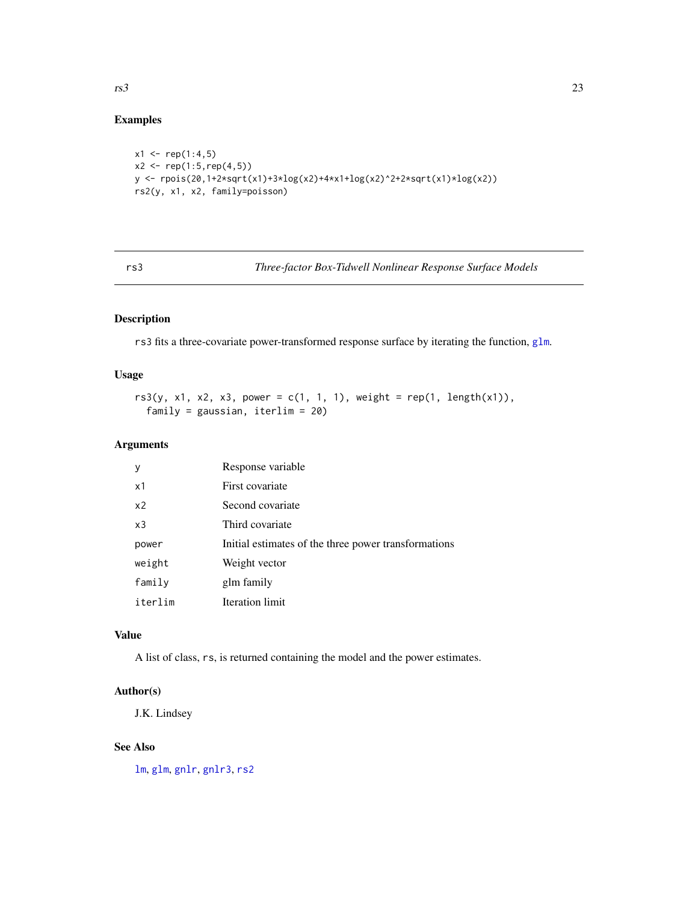# Examples

```
x1 \leq -rep(1:4,5)x2 \le rep(1:5, rep(4,5))
y <- rpois(20,1+2*sqrt(x1)+3*log(x2)+4*x1+log(x2)^2+2*sqrt(x1)*log(x2))
rs2(y, x1, x2, family=poisson)
```
<span id="page-22-1"></span>rs3 *Three-factor Box-Tidwell Nonlinear Response Surface Models*

# Description

rs3 fits a three-covariate power-transformed response surface by iterating the function, [glm](#page-0-0).

# Usage

```
rs3(y, x1, x2, x3, power = c(1, 1, 1), weight = rep(1, length(x1)),family = gaussian, iterlim = 20)
```
# Arguments

| У              | Response variable                                    |
|----------------|------------------------------------------------------|
| x1             | First covariate                                      |
| x <sub>2</sub> | Second covariate                                     |
| x3             | Third covariate                                      |
| power          | Initial estimates of the three power transformations |
| weight         | Weight vector                                        |
| family         | glm family                                           |
| iterlim        | Iteration limit                                      |

#### Value

A list of class, rs, is returned containing the model and the power estimates.

#### Author(s)

J.K. Lindsey

# See Also

[lm](#page-0-0), [glm](#page-0-0), [gnlr](#page-8-1), [gnlr3](#page-12-1), [rs2](#page-21-1)

<span id="page-22-0"></span> $rs3$  23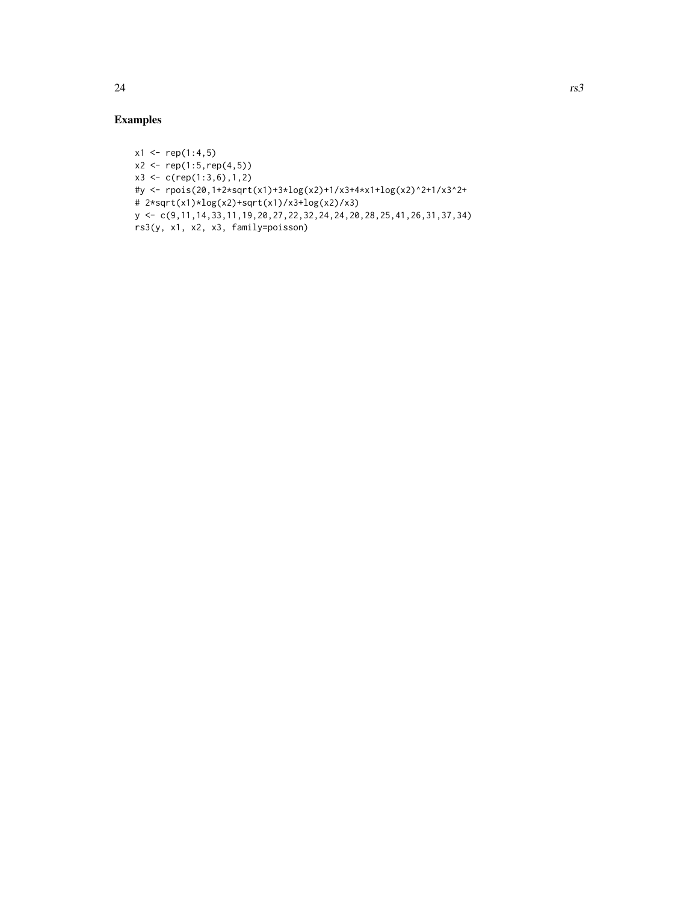```
x1 \le rep(1:4,5)
x2 \le rep(1:5, rep(4,5))
x3 \leq c(\text{rep}(1:3,6),1,2)#y <- rpois(20,1+2*sqrt(x1)+3*log(x2)+1/x3+4*x1+log(x2)^2+1/x3^2+
# 2*sqrt(x1)*log(x2)+sqrt(x1)/x3+log(x2)/x3)
y <- c(9,11,14,33,11,19,20,27,22,32,24,24,20,28,25,41,26,31,37,34)
rs3(y, x1, x2, x3, family=poisson)
```